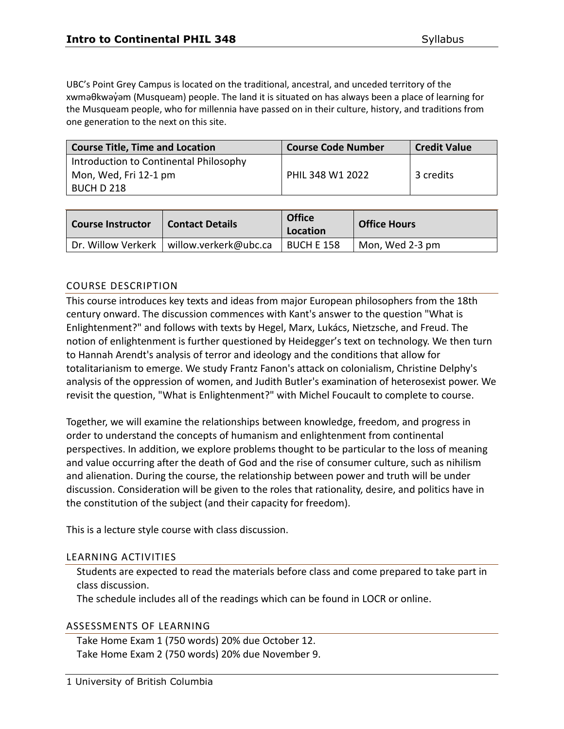UBC's Point Grey Campus is located on the traditional, ancestral, and unceded territory of the xwməθkwəy̓əm (Musqueam) people. The land it is situated on has always been a place of learning for the Musqueam people, who for millennia have passed on in their culture, history, and traditions from one generation to the next on this site.

| <b>Course Title, Time and Location</b> | <b>Course Code Number</b> | <b>Credit Value</b> |
|----------------------------------------|---------------------------|---------------------|
| Introduction to Continental Philosophy |                           |                     |
| Mon, Wed, Fri 12-1 pm                  | PHIL 348 W1 2022          | 3 credits           |
| BUCH D 218                             |                           |                     |

| <b>Course Instructor</b> | <b>Contact Details</b>                     | <b>Office</b><br>Location | <b>Office Hours</b> |
|--------------------------|--------------------------------------------|---------------------------|---------------------|
|                          | Dr. Willow Verkerk   willow.verkerk@ubc.ca | BUCH E 158                | Mon, Wed 2-3 pm     |

### COURSE DESCRIPTION

This course introduces key texts and ideas from major European philosophers from the 18th century onward. The discussion commences with Kant's answer to the question "What is Enlightenment?" and follows with texts by Hegel, Marx, Lukács, Nietzsche, and Freud. The notion of enlightenment is further questioned by Heidegger's text on technology. We then turn to Hannah Arendt's analysis of terror and ideology and the conditions that allow for totalitarianism to emerge. We study Frantz Fanon's attack on colonialism, Christine Delphy's analysis of the oppression of women, and Judith Butler's examination of heterosexist power. We revisit the question, "What is Enlightenment?" with Michel Foucault to complete to course.

Together, we will examine the relationships between knowledge, freedom, and progress in order to understand the concepts of humanism and enlightenment from continental perspectives. In addition, we explore problems thought to be particular to the loss of meaning and value occurring after the death of God and the rise of consumer culture, such as nihilism and alienation. During the course, the relationship between power and truth will be under discussion. Consideration will be given to the roles that rationality, desire, and politics have in the constitution of the subject (and their capacity for freedom).

This is a lecture style course with class discussion.

### LEARNING ACTIVITIES

Students are expected to read the materials before class and come prepared to take part in class discussion.

The schedule includes all of the readings which can be found in LOCR or online.

#### ASSESSMENTS OF LEARNING

Take Home Exam 1 (750 words) 20% due October 12. Take Home Exam 2 (750 words) 20% due November 9.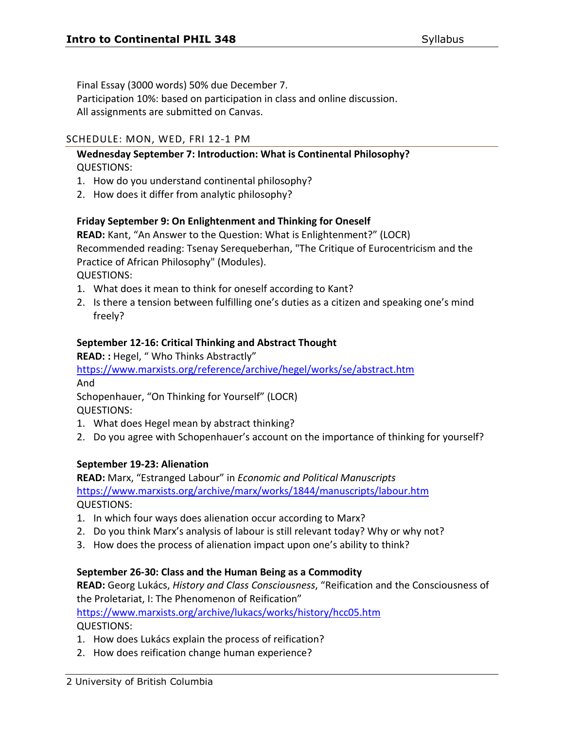Final Essay (3000 words) 50% due December 7.

Participation 10%: based on participation in class and online discussion. All assignments are submitted on Canvas.

### SCHEDULE: MON, WED, FRI 12-1 PM

# **Wednesday September 7: Introduction: What is Continental Philosophy?** QUESTIONS:

- 1. How do you understand continental philosophy?
- 2. How does it differ from analytic philosophy?

### **Friday September 9: On Enlightenment and Thinking for Oneself**

**READ:** Kant, "An Answer to the Question: What is Enlightenment?" (LOCR) Recommended reading: Tsenay Serequeberhan, "The Critique of Eurocentricism and the Practice of African Philosophy" (Modules).

QUESTIONS:

- 1. What does it mean to think for oneself according to Kant?
- 2. Is there a tension between fulfilling one's duties as a citizen and speaking one's mind freely?

### **September 12-16: Critical Thinking and Abstract Thought**

**READ: :** Hegel, " Who Thinks Abstractly"

<https://www.marxists.org/reference/archive/hegel/works/se/abstract.htm> And

Schopenhauer, "On Thinking for Yourself" (LOCR) QUESTIONS:

- 1. What does Hegel mean by abstract thinking?
- 2. Do you agree with Schopenhauer's account on the importance of thinking for yourself?

### **September 19-23: Alienation**

**READ:** Marx, "Estranged Labour" in *Economic and Political Manuscripts* <https://www.marxists.org/archive/marx/works/1844/manuscripts/labour.htm> QUESTIONS:

- 1. In which four ways does alienation occur according to Marx?
- 2. Do you think Marx's analysis of labour is still relevant today? Why or why not?
- 3. How does the process of alienation impact upon one's ability to think?

# **September 26-30: Class and the Human Being as a Commodity**

**READ:** Georg Lukács, *History and Class Consciousness*, "Reification and the Consciousness of the Proletariat, I: The Phenomenon of Reification"

<https://www.marxists.org/archive/lukacs/works/history/hcc05.htm>

QUESTIONS:

- 1. How does Lukács explain the process of reification?
- 2. How does reification change human experience?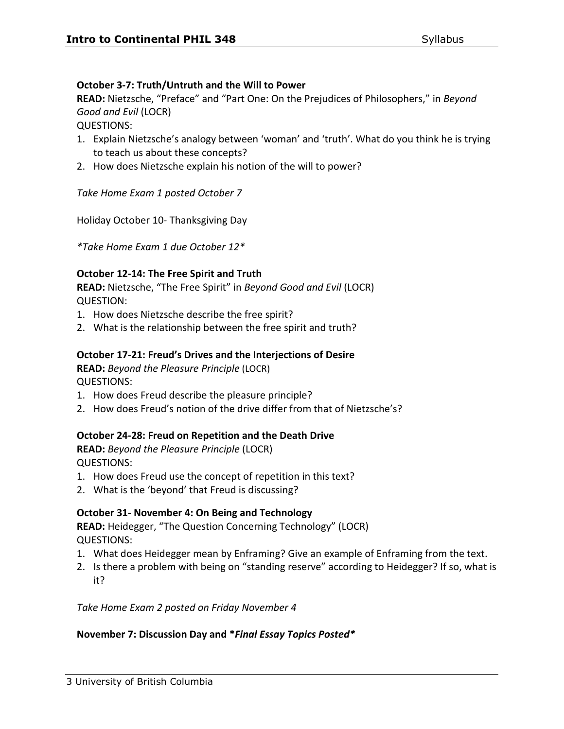# **October 3-7: Truth/Untruth and the Will to Power**

**READ:** Nietzsche, "Preface" and "Part One: On the Prejudices of Philosophers," in *Beyond Good and Evil* (LOCR)

QUESTIONS:

- 1. Explain Nietzsche's analogy between 'woman' and 'truth'. What do you think he is trying to teach us about these concepts?
- 2. How does Nietzsche explain his notion of the will to power?

*Take Home Exam 1 posted October 7*

Holiday October 10- Thanksgiving Day

*\*Take Home Exam 1 due October 12\**

# **October 12-14: The Free Spirit and Truth**

**READ:** Nietzsche, "The Free Spirit" in *Beyond Good and Evil* (LOCR) QUESTION:

- 1. How does Nietzsche describe the free spirit?
- 2. What is the relationship between the free spirit and truth?

# **October 17-21: Freud's Drives and the Interjections of Desire**

**READ:** *Beyond the Pleasure Principle* (LOCR) QUESTIONS:

- 1. How does Freud describe the pleasure principle?
- 2. How does Freud's notion of the drive differ from that of Nietzsche's?

# **October 24-28: Freud on Repetition and the Death Drive**

**READ:** *Beyond the Pleasure Principle* (LOCR) QUESTIONS:

- 1. How does Freud use the concept of repetition in this text?
- 2. What is the 'beyond' that Freud is discussing?

# **October 31- November 4: On Being and Technology**

**READ:** Heidegger, "The Question Concerning Technology" (LOCR) QUESTIONS:

- 1. What does Heidegger mean by Enframing? Give an example of Enframing from the text.
- 2. Is there a problem with being on "standing reserve" according to Heidegger? If so, what is it?

*Take Home Exam 2 posted on Friday November 4*

# **November 7: Discussion Day and \****Final Essay Topics Posted\**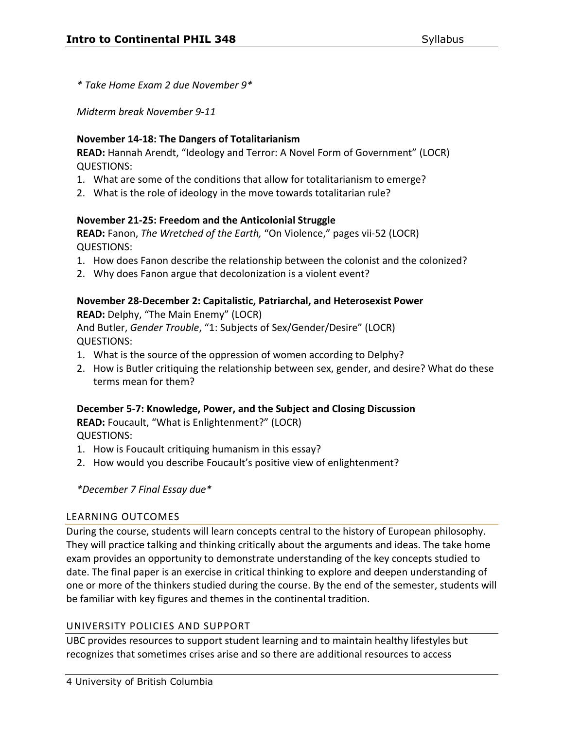*\* Take Home Exam 2 due November 9\** 

*Midterm break November 9-11* 

### **November 14-18: The Dangers of Totalitarianism**

**READ:** Hannah Arendt, "Ideology and Terror: A Novel Form of Government" (LOCR) QUESTIONS:

- 1. What are some of the conditions that allow for totalitarianism to emerge?
- 2. What is the role of ideology in the move towards totalitarian rule?

# **November 21-25: Freedom and the Anticolonial Struggle**

**READ:** Fanon, *The Wretched of the Earth,* "On Violence," pages vii-52 (LOCR) QUESTIONS:

- 1. How does Fanon describe the relationship between the colonist and the colonized?
- 2. Why does Fanon argue that decolonization is a violent event?

# **November 28-December 2: Capitalistic, Patriarchal, and Heterosexist Power**

**READ:** Delphy, "The Main Enemy" (LOCR) And Butler, *Gender Trouble*, "1: Subjects of Sex/Gender/Desire" (LOCR) QUESTIONS:

- 1. What is the source of the oppression of women according to Delphy?
- 2. How is Butler critiquing the relationship between sex, gender, and desire? What do these terms mean for them?

### **December 5-7: Knowledge, Power, and the Subject and Closing Discussion**

**READ:** Foucault, "What is Enlightenment?" (LOCR) QUESTIONS:

- 1. How is Foucault critiquing humanism in this essay?
- 2. How would you describe Foucault's positive view of enlightenment?

### *\*December 7 Final Essay due\**

# LEARNING OUTCOMES

During the course, students will learn concepts central to the history of European philosophy. They will practice talking and thinking critically about the arguments and ideas. The take home exam provides an opportunity to demonstrate understanding of the key concepts studied to date. The final paper is an exercise in critical thinking to explore and deepen understanding of one or more of the thinkers studied during the course. By the end of the semester, students will be familiar with key figures and themes in the continental tradition.

### UNIVERSITY POLICIES AND SUPPORT

UBC provides resources to support student learning and to maintain healthy lifestyles but recognizes that sometimes crises arise and so there are additional resources to access